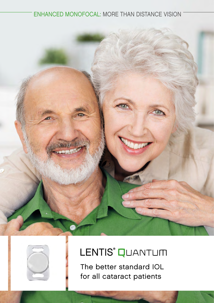#### ENHANCED MONOFOCAL: MORE THAN DISTANCE VISION





## LENTIS<sup>®</sup> QUANTUM

The better standard IOL for all cataract patients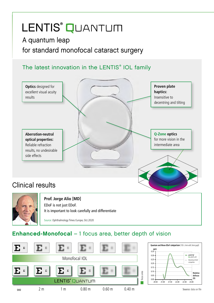## LENTIS<sup>®</sup> QUANTUM

### A quantum leap for standard monofocal cataract surgery

#### The latest innovation in the LENTIS® IOL family



#### Enhanced-Monofocal – 1 focus area, better depth of vision

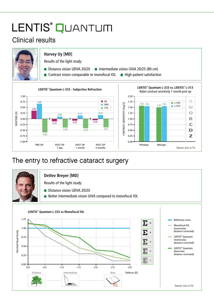# LENTIS<sup>®</sup> QUANTUM

### Clinical results



### The entry to refractive cataract surgery